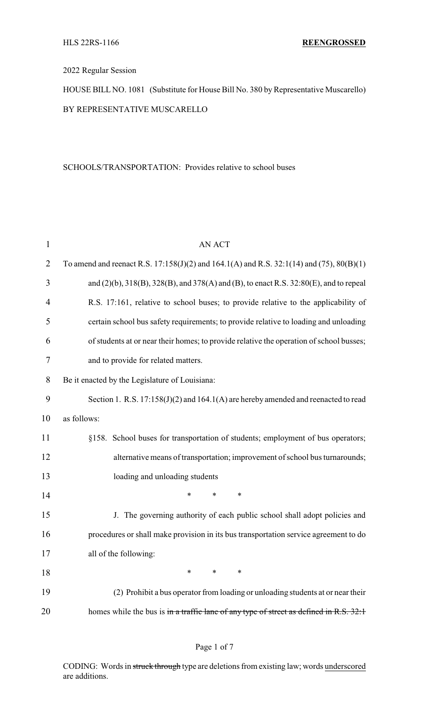## 2022 Regular Session

HOUSE BILL NO. 1081 (Substitute for House Bill No. 380 by Representative Muscarello) BY REPRESENTATIVE MUSCARELLO

### SCHOOLS/TRANSPORTATION: Provides relative to school buses

| $\mathbf{1}$   | <b>AN ACT</b>                                                                                       |  |
|----------------|-----------------------------------------------------------------------------------------------------|--|
| $\overline{2}$ | To amend and reenact R.S. $17:158(J)(2)$ and $164.1(A)$ and R.S. $32:1(14)$ and $(75)$ , $80(B)(1)$ |  |
| 3              | and (2)(b), 318(B), 328(B), and 378(A) and (B), to enact R.S. 32:80(E), and to repeal               |  |
| 4              | R.S. 17:161, relative to school buses; to provide relative to the applicability of                  |  |
| 5              | certain school bus safety requirements; to provide relative to loading and unloading                |  |
| 6              | of students at or near their homes; to provide relative the operation of school busses;             |  |
| $\tau$         | and to provide for related matters.                                                                 |  |
| 8              | Be it enacted by the Legislature of Louisiana:                                                      |  |
| 9              | Section 1. R.S. $17:158(J)(2)$ and $164.1(A)$ are hereby amended and reenacted to read              |  |
| 10             | as follows:                                                                                         |  |
| 11             | §158. School buses for transportation of students; employment of bus operators;                     |  |
| 12             | alternative means of transportation; improvement of school bus turnarounds;                         |  |
| 13             | loading and unloading students                                                                      |  |
| 14             | *<br>$\ast$<br>*                                                                                    |  |
| 15             | J. The governing authority of each public school shall adopt policies and                           |  |
| 16             | procedures or shall make provision in its bus transportation service agreement to do                |  |
| 17             | all of the following:                                                                               |  |
| 18             | *<br>*<br>*                                                                                         |  |
| 19             | (2) Prohibit a bus operator from loading or unloading students at or near their                     |  |
| 20             | homes while the bus is in a traffic lane of any type of street as defined in R.S. 32:1              |  |

## Page 1 of 7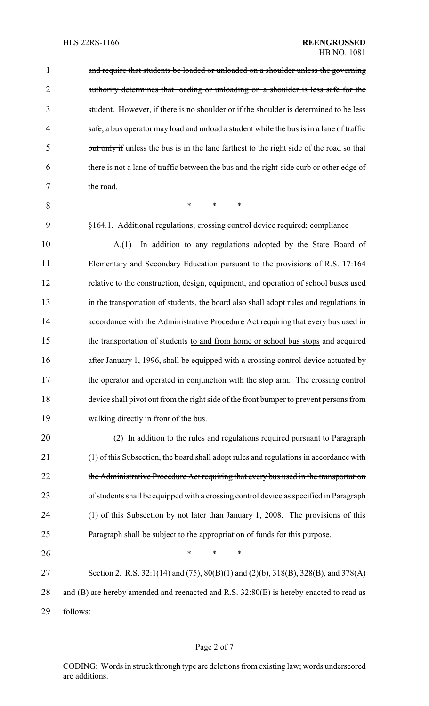| $\mathbf{1}$   | and require that students be loaded or unloaded on a shoulder unless the governing       |  |
|----------------|------------------------------------------------------------------------------------------|--|
| $\overline{2}$ | authority determines that loading or unloading on a shoulder is less safe for the        |  |
| 3              | student. However, if there is no shoulder or if the shoulder is determined to be less    |  |
| 4              | safe, a bus operator may load and unload a student while the bus is in a lane of traffic |  |
| 5              | but only if unless the bus is in the lane farthest to the right side of the road so that |  |
| 6              | there is not a lane of traffic between the bus and the right-side curb or other edge of  |  |
| 7              | the road.                                                                                |  |
| 8              | $\ast$<br>$\ast$<br>$\ast$                                                               |  |
| 9              | §164.1. Additional regulations; crossing control device required; compliance             |  |
| 10             | In addition to any regulations adopted by the State Board of<br>A(1)                     |  |
| 11             | Elementary and Secondary Education pursuant to the provisions of R.S. 17:164             |  |
| 12             | relative to the construction, design, equipment, and operation of school buses used      |  |
| 13             | in the transportation of students, the board also shall adopt rules and regulations in   |  |
| 14             | accordance with the Administrative Procedure Act requiring that every bus used in        |  |
| 15             | the transportation of students to and from home or school bus stops and acquired         |  |
| 16             | after January 1, 1996, shall be equipped with a crossing control device actuated by      |  |
| 17             | the operator and operated in conjunction with the stop arm. The crossing control         |  |
| 18             | device shall pivot out from the right side of the front bumper to prevent persons from   |  |
| 19             | walking directly in front of the bus.                                                    |  |
| 20             | (2) In addition to the rules and regulations required pursuant to Paragraph              |  |
| 21             | (1) of this Subsection, the board shall adopt rules and regulations in accordance with   |  |
| 22             | the Administrative Procedure Act requiring that every bus used in the transportation     |  |
| 23             | of students shall be equipped with a crossing control device as specified in Paragraph   |  |
| 24             | (1) of this Subsection by not later than January 1, 2008. The provisions of this         |  |
| 25             | Paragraph shall be subject to the appropriation of funds for this purpose.               |  |
| 26             | ∗<br>*<br>∗                                                                              |  |
| 27             | Section 2. R.S. 32:1(14) and (75), 80(B)(1) and (2)(b), 318(B), 328(B), and 378(A)       |  |
| 28             | and (B) are hereby amended and reenacted and R.S. 32:80(E) is hereby enacted to read as  |  |
| 29             | follows:                                                                                 |  |

# Page 2 of 7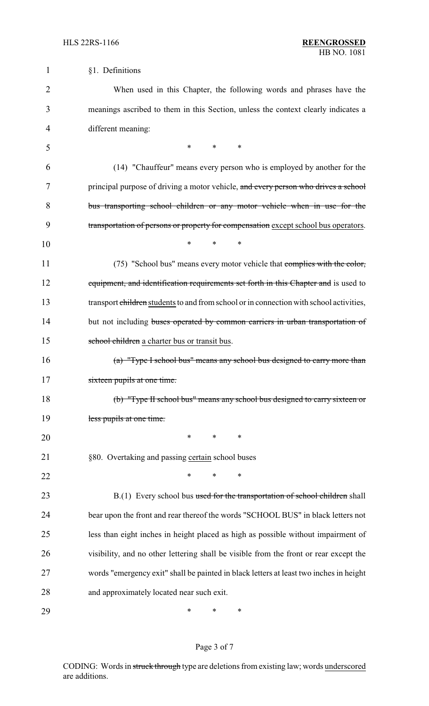1 §1. Definitions

| $\overline{2}$ | When used in this Chapter, the following words and phrases have the                     |
|----------------|-----------------------------------------------------------------------------------------|
| 3              | meanings ascribed to them in this Section, unless the context clearly indicates a       |
| 4              | different meaning:                                                                      |
| 5              | $\ast$<br>*<br>$\ast$                                                                   |
| 6              | (14) "Chauffeur" means every person who is employed by another for the                  |
| 7              | principal purpose of driving a motor vehicle, and every person who drives a school      |
| 8              | bus transporting school children or any motor vehicle when in use for the               |
| 9              | transportation of persons or property for compensation except school bus operators.     |
| 10             | $\ast$<br>*<br>*                                                                        |
| 11             | (75) "School bus" means every motor vehicle that complies with the color,               |
| 12             | equipment, and identification requirements set forth in this Chapter and is used to     |
| 13             | transport children students to and from school or in connection with school activities, |
| 14             | but not including buses operated by common carriers in urban transportation of          |
| 15             | school children a charter bus or transit bus.                                           |
| 16             | (a) "Type I school bus" means any school bus designed to carry more than                |
| 17             | sixteen pupils at one time.                                                             |
| 18             | (b) "Type II school bus" means any school bus designed to carry sixteen or              |
| 19             | less pupils at one time.                                                                |
| 20             | ∗<br>∗<br>∗                                                                             |
| 21             | §80. Overtaking and passing certain school buses                                        |
| 22             | ∗<br>*<br>*                                                                             |
| 23             | B.(1) Every school bus used for the transportation of school children shall             |
| 24             | bear upon the front and rear thereof the words "SCHOOL BUS" in black letters not        |
| 25             | less than eight inches in height placed as high as possible without impairment of       |
| 26             | visibility, and no other lettering shall be visible from the front or rear except the   |
| 27             | words "emergency exit" shall be painted in black letters at least two inches in height  |
| 28             | and approximately located near such exit.                                               |
| 29             | ∗<br>∗<br>∗                                                                             |

# Page 3 of 7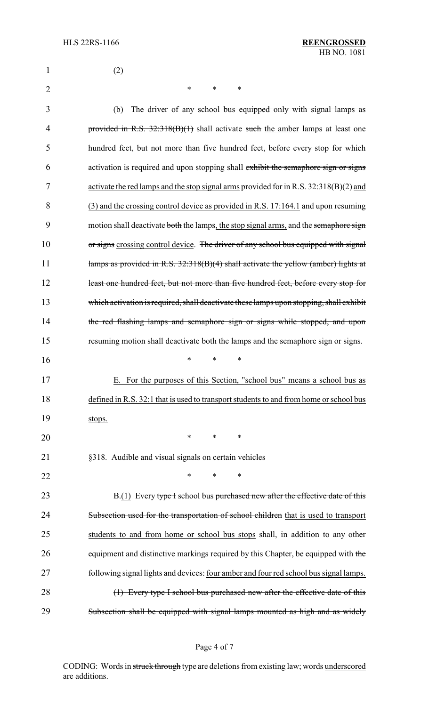| 1              | (2)                                                                                     |
|----------------|-----------------------------------------------------------------------------------------|
| $\overline{2}$ | *<br>$\ast$<br>∗                                                                        |
| 3              | The driver of any school bus equipped only with signal lamps as<br>(b)                  |
| 4              | provided in R.S. 32:318(B)(1) shall activate such the amber lamps at least one          |
| 5              | hundred feet, but not more than five hundred feet, before every stop for which          |
| 6              | activation is required and upon stopping shall exhibit the semaphore sign or signs      |
| 7              | activate the red lamps and the stop signal arms provided for in R.S. $32:318(B)(2)$ and |
| 8              | (3) and the crossing control device as provided in R.S. 17:164.1 and upon resuming      |
| 9              | motion shall deactivate both the lamps, the stop signal arms, and the semaphore sign    |
| 10             | or signs crossing control device. The driver of any school bus equipped with signal     |
| 11             | lamps as provided in R.S. 32:318(B)(4) shall activate the yellow (amber) lights at      |
| 12             | least one hundred feet, but not more than five hundred feet, before every stop for      |
| 13             | which activation is required, shall deactivate these lamps upon stopping, shall exhibit |
| 14             | the red flashing lamps and semaphore sign or signs while stopped, and upon              |
| 15             | resuming motion shall deactivate both the lamps and the semaphore sign or signs.        |
| 16             | *<br>$\ast$<br>∗                                                                        |
| 17             | E. For the purposes of this Section, "school bus" means a school bus as                 |
| 18             | defined in R.S. 32:1 that is used to transport students to and from home or school bus  |
| 19             | stops.                                                                                  |
| 20             | $\ast$<br>$\ast$<br>∗                                                                   |
| 21             | §318. Audible and visual signals on certain vehicles                                    |
| 22             | $\ast$<br>∗<br>∗                                                                        |
| 23             | B.(1) Every type I school bus purchased new after the effective date of this            |
| 24             | Subsection used for the transportation of school children that is used to transport     |
| 25             | students to and from home or school bus stops shall, in addition to any other           |
| 26             | equipment and distinctive markings required by this Chapter, be equipped with the       |
| 27             | following signal lights and devices: four amber and four red school bus signal lamps.   |
| 28             | (1) Every type I school bus purchased new after the effective date of this              |
| 29             | Subsection shall be equipped with signal lamps mounted as high and as widely            |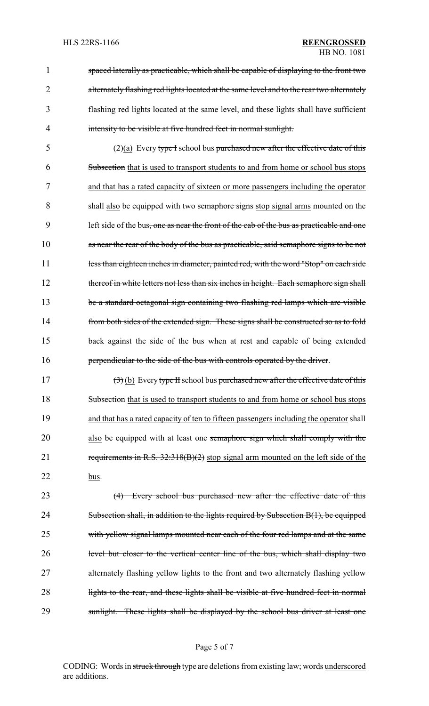spaced laterally as practicable, which shall be capable of displaying to the front two 2 alternately flashing red lights located at the same level and to the rear two alternately flashing red lights located at the same level, and these lights shall have sufficient intensity to be visible at five hundred feet in normal sunlight.

5 (2)(a) Every type I school bus purchased new after the effective date of this 6 Subsection that is used to transport students to and from home or school bus stops 7 and that has a rated capacity of sixteen or more passengers including the operator 8 shall also be equipped with two semaphore signs stop signal arms mounted on the 9 left side of the bus, one as near the front of the cab of the bus as practicable and one 10 as near the rear of the body of the bus as practicable, said semaphore signs to be not 11 less than eighteen inches in diameter, painted red, with the word "Stop" on each side 12 thereof in white letters not less than six inches in height. Each semaphore sign shall 13 be a standard octagonal sign containing two flashing red lamps which are visible 14 from both sides of the extended sign. These signs shall be constructed so as to fold 15 back against the side of the bus when at rest and capable of being extended 16 **perpendicular to the side of the bus with controls operated by the driver.** 

17  $(3)$  (b) Every type II school bus purchased new after the effective date of this 18 Subsection that is used to transport students to and from home or school bus stops 19 and that has a rated capacity of ten to fifteen passengers including the operator shall 20 also be equipped with at least one semaphore sign which shall comply with the 21 requirements in R.S. 32:318(B)(2) stop signal arm mounted on the left side of the 22 bus.

23 (4) Every school bus purchased new after the effective date of this 24 Subsection shall, in addition to the lights required by Subsection B(1), be equipped 25 with yellow signal lamps mounted near each of the four red lamps and at the same 26 level but closer to the vertical center line of the bus, which shall display two 27 alternately flashing yellow lights to the front and two alternately flashing yellow 28 lights to the rear, and these lights shall be visible at five hundred feet in normal 29 sunlight. These lights shall be displayed by the school bus driver at least one

#### Page 5 of 7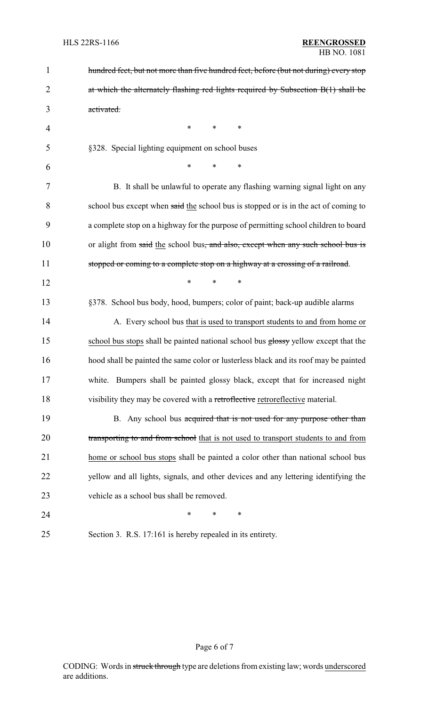| $\mathbf{1}$   | hundred feet, but not more than five hundred feet, before (but not during) every stop |  |  |
|----------------|---------------------------------------------------------------------------------------|--|--|
| $\overline{2}$ | at which the alternately flashing red lights required by Subsection B(1) shall be     |  |  |
| 3              | activated.                                                                            |  |  |
| $\overline{4}$ | $\ast$<br>∗<br>*                                                                      |  |  |
| 5              | §328. Special lighting equipment on school buses                                      |  |  |
| 6              | $\ast$<br>$\ast$<br>$\ast$                                                            |  |  |
| 7              | B. It shall be unlawful to operate any flashing warning signal light on any           |  |  |
| 8              | school bus except when said the school bus is stopped or is in the act of coming to   |  |  |
| 9              | a complete stop on a highway for the purpose of permitting school children to board   |  |  |
| 10             | or alight from said the school bus, and also, except when any such school bus is      |  |  |
| 11             | stopped or coming to a complete stop on a highway at a crossing of a railroad.        |  |  |
| 12             | $\ast$<br>*<br>$\ast$                                                                 |  |  |
| 13             | §378. School bus body, hood, bumpers; color of paint; back-up audible alarms          |  |  |
| 14             | A. Every school bus that is used to transport students to and from home or            |  |  |
| 15             | school bus stops shall be painted national school bus glossy yellow except that the   |  |  |
| 16             | hood shall be painted the same color or lusterless black and its roof may be painted  |  |  |
| 17             | white. Bumpers shall be painted glossy black, except that for increased night         |  |  |
| 18             | visibility they may be covered with a retroflective retroreflective material.         |  |  |
| 19             | B. Any school bus acquired that is not used for any purpose other than                |  |  |
| 20             | transporting to and from school that is not used to transport students to and from    |  |  |
| 21             | home or school bus stops shall be painted a color other than national school bus      |  |  |
| 22             | yellow and all lights, signals, and other devices and any lettering identifying the   |  |  |
| 23             | vehicle as a school bus shall be removed.                                             |  |  |
| 24             | *<br>∗<br>∗                                                                           |  |  |
| 25             | Section 3. R.S. 17:161 is hereby repealed in its entirety.                            |  |  |